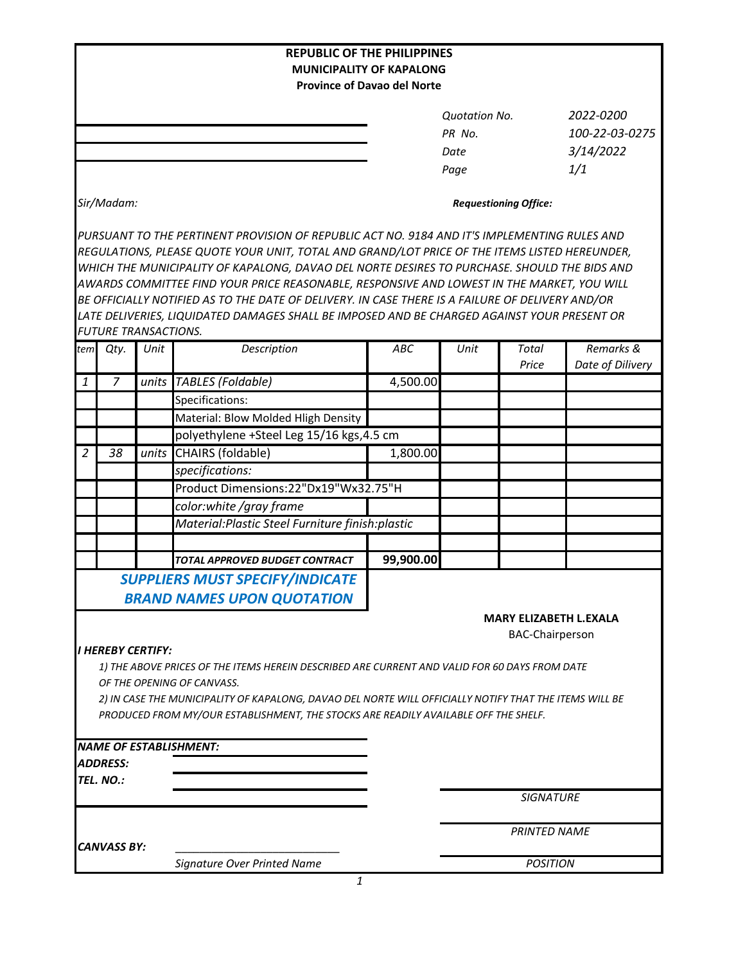|                |                             |       | <b>REPUBLIC OF THE PHILIPPINES</b>                                                                                          |                               |                        |                     |                  |  |
|----------------|-----------------------------|-------|-----------------------------------------------------------------------------------------------------------------------------|-------------------------------|------------------------|---------------------|------------------|--|
|                |                             |       | <b>MUNICIPALITY OF KAPALONG</b>                                                                                             |                               |                        |                     |                  |  |
|                |                             |       | <b>Province of Davao del Norte</b>                                                                                          |                               |                        |                     |                  |  |
|                |                             |       |                                                                                                                             |                               | <b>Quotation No.</b>   |                     | 2022-0200        |  |
|                |                             |       |                                                                                                                             |                               | PR No.                 |                     | 100-22-03-0275   |  |
|                |                             |       |                                                                                                                             |                               | Date                   |                     | 3/14/2022        |  |
|                |                             |       |                                                                                                                             |                               | Page                   |                     | 1/1              |  |
|                |                             |       |                                                                                                                             |                               |                        |                     |                  |  |
| Sir/Madam:     |                             |       |                                                                                                                             | <b>Requestioning Office:</b>  |                        |                     |                  |  |
|                |                             |       | PURSUANT TO THE PERTINENT PROVISION OF REPUBLIC ACT NO. 9184 AND IT'S IMPLEMENTING RULES AND                                |                               |                        |                     |                  |  |
|                |                             |       | REGULATIONS, PLEASE QUOTE YOUR UNIT, TOTAL AND GRAND/LOT PRICE OF THE ITEMS LISTED HEREUNDER,                               |                               |                        |                     |                  |  |
|                |                             |       | WHICH THE MUNICIPALITY OF KAPALONG, DAVAO DEL NORTE DESIRES TO PURCHASE. SHOULD THE BIDS AND                                |                               |                        |                     |                  |  |
|                |                             |       | AWARDS COMMITTEE FIND YOUR PRICE REASONABLE, RESPONSIVE AND LOWEST IN THE MARKET, YOU WILL                                  |                               |                        |                     |                  |  |
|                |                             |       | BE OFFICIALLY NOTIFIED AS TO THE DATE OF DELIVERY. IN CASE THERE IS A FAILURE OF DELIVERY AND/OR                            |                               |                        |                     |                  |  |
|                | <b>FUTURE TRANSACTIONS.</b> |       | LATE DELIVERIES, LIQUIDATED DAMAGES SHALL BE IMPOSED AND BE CHARGED AGAINST YOUR PRESENT OR                                 |                               |                        |                     |                  |  |
| tem            | Qty.                        | Unit  | Description                                                                                                                 | ABC                           | Unit                   | <b>Total</b>        | Remarks &        |  |
|                |                             |       |                                                                                                                             |                               |                        | Price               | Date of Dilivery |  |
| 1              | 7                           |       | units   TABLES (Foldable)                                                                                                   | 4,500.00                      |                        |                     |                  |  |
|                |                             |       | Specifications:                                                                                                             |                               |                        |                     |                  |  |
|                |                             |       | Material: Blow Molded Hligh Density                                                                                         |                               |                        |                     |                  |  |
|                |                             |       | polyethylene +Steel Leg 15/16 kgs,4.5 cm                                                                                    |                               |                        |                     |                  |  |
| $\overline{2}$ | 38                          | units | CHAIRS (foldable)                                                                                                           | 1,800.00                      |                        |                     |                  |  |
|                |                             |       | specifications:                                                                                                             |                               |                        |                     |                  |  |
|                |                             |       | Product Dimensions:22"Dx19"Wx32.75"H                                                                                        |                               |                        |                     |                  |  |
|                |                             |       | color:white /gray frame                                                                                                     |                               |                        |                     |                  |  |
|                |                             |       | Material: Plastic Steel Furniture finish: plastic                                                                           |                               |                        |                     |                  |  |
|                |                             |       |                                                                                                                             |                               |                        |                     |                  |  |
|                |                             |       | TOTAL APPROVED BUDGET CONTRACT                                                                                              | 99,900.00                     |                        |                     |                  |  |
|                |                             |       | <b>SUPPLIERS MUST SPECIFY/INDICATE</b>                                                                                      |                               |                        |                     |                  |  |
|                |                             |       | <b>BRAND NAMES UPON QUOTATION</b>                                                                                           |                               |                        |                     |                  |  |
|                |                             |       |                                                                                                                             | <b>MARY ELIZABETH L.EXALA</b> |                        |                     |                  |  |
|                |                             |       |                                                                                                                             |                               | <b>BAC-Chairperson</b> |                     |                  |  |
|                | <b>I HEREBY CERTIFY:</b>    |       |                                                                                                                             |                               |                        |                     |                  |  |
|                |                             |       | 1) THE ABOVE PRICES OF THE ITEMS HEREIN DESCRIBED ARE CURRENT AND VALID FOR 60 DAYS FROM DATE<br>OF THE OPENING OF CANVASS. |                               |                        |                     |                  |  |
|                |                             |       | 2) IN CASE THE MUNICIPALITY OF KAPALONG, DAVAO DEL NORTE WILL OFFICIALLY NOTIFY THAT THE ITEMS WILL BE                      |                               |                        |                     |                  |  |
|                |                             |       | PRODUCED FROM MY/OUR ESTABLISHMENT, THE STOCKS ARE READILY AVAILABLE OFF THE SHELF.                                         |                               |                        |                     |                  |  |
|                |                             |       |                                                                                                                             |                               |                        |                     |                  |  |
|                |                             |       | <b>NAME OF ESTABLISHMENT:</b>                                                                                               |                               |                        |                     |                  |  |
|                | <b>ADDRESS:</b>             |       |                                                                                                                             |                               |                        |                     |                  |  |
|                | TEL. NO.:                   |       |                                                                                                                             |                               |                        |                     |                  |  |
|                |                             |       |                                                                                                                             |                               |                        | <b>SIGNATURE</b>    |                  |  |
|                |                             |       |                                                                                                                             |                               |                        |                     |                  |  |
|                | <b>CANVASS BY:</b>          |       |                                                                                                                             |                               |                        | <b>PRINTED NAME</b> |                  |  |
|                |                             |       | Signature Over Printed Name                                                                                                 |                               | <b>POSITION</b>        |                     |                  |  |